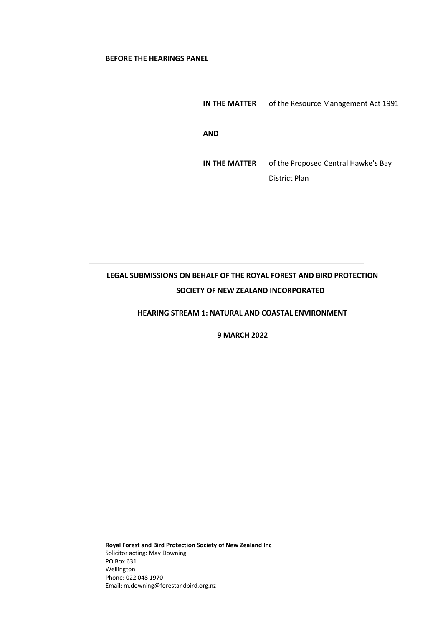## **BEFORE THE HEARINGS PANEL**

**IN THE MATTER** of the Resource Management Act 1991 **AND IN THE MATTER** of the Proposed Central Hawke's Bay District Plan

# **LEGAL SUBMISSIONS ON BEHALF OF THE ROYAL FOREST AND BIRD PROTECTION SOCIETY OF NEW ZEALAND INCORPORATED**

## **HEARING STREAM 1: NATURAL AND COASTAL ENVIRONMENT**

**9 MARCH 2022**

**Royal Forest and Bird Protection Society of New Zealand Inc** Solicitor acting: May Downing PO Box 631 Wellington Phone: 022 048 1970 Email: m.downing@forestandbird.org.nz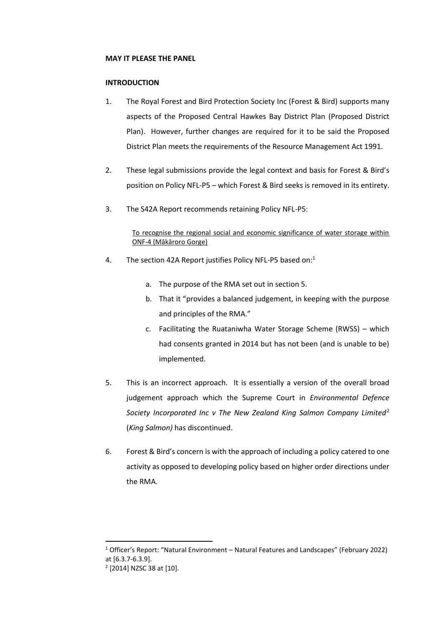## **MAY IT PLEASE THE PANEL**

## **INTRODUCTION**

- 1. The Royal Forest and Bird Protection Society Inc (Forest & Bird) supports many aspects of the Proposed Central Hawkes Bay District Plan (Proposed District Plan). However, further changes are required for it to be said the Proposed District Plan meets the requirements of the Resource Management Act 1991.
- 2. These legal submissions provide the legal context and basis for Forest & Bird's position on Policy NFL-P5 – which Forest & Bird seeks is removed in its entirety.
- 3. The S42A Report recommends retaining Policy NFL-P5:

To recognise the regional social and economic significance of water storage within ONF-4 (Mākāroro Gorge)

- 4. The section 42A Report justifies Policy NFL-P5 based on:<sup>1</sup>
	- a. The purpose of the RMA set out in section 5.
	- b. That it "provides a balanced judgement, in keeping with the purpose and principles of the RMA."
	- c. Facilitating the Ruataniwha Water Storage Scheme (RWSS) which had consents granted in 2014 but has not been (and is unable to be) implemented.
- 5. This is an incorrect approach. It is essentially a version of the overall broad judgement approach which the Supreme Court in *Environmental Defence Society Incorporated Inc v The New Zealand King Salmon Company Limited*<sup>2</sup> (*King Salmon)* has discontinued.
- 6. Forest & Bird's concern is with the approach of including a policy catered to one activity as opposed to developing policy based on higher order directions under the RMA.

<sup>1</sup> Officer's Report: "Natural Environment – Natural Features and Landscapes" (February 2022) at [6.3.7-6.3.9].

<sup>2</sup> [2014] NZSC 38 at [10].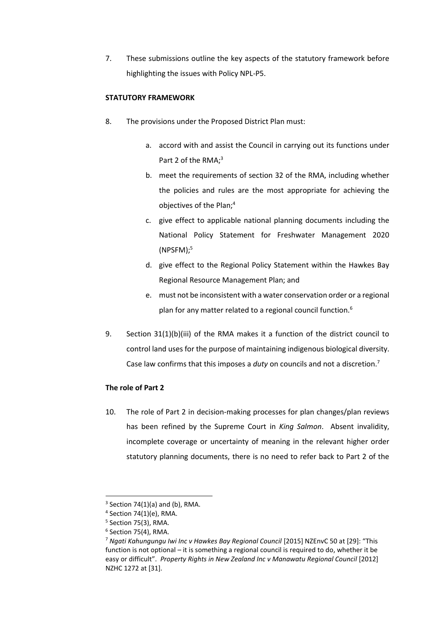7. These submissions outline the key aspects of the statutory framework before highlighting the issues with Policy NPL-P5.

# **STATUTORY FRAMEWORK**

- 8. The provisions under the Proposed District Plan must:
	- a. accord with and assist the Council in carrying out its functions under Part 2 of the RMA:<sup>3</sup>
	- b. meet the requirements of section 32 of the RMA, including whether the policies and rules are the most appropriate for achieving the objectives of the Plan;<sup>4</sup>
	- c. give effect to applicable national planning documents including the National Policy Statement for Freshwater Management 2020 (NPSFM); 5
	- d. give effect to the Regional Policy Statement within the Hawkes Bay Regional Resource Management Plan; and
	- e. must not be inconsistent with a water conservation order or a regional plan for any matter related to a regional council function.<sup>6</sup>
- 9. Section 31(1)(b)(iii) of the RMA makes it a function of the district council to control land uses for the purpose of maintaining indigenous biological diversity. Case law confirms that this imposes a *duty* on councils and not a discretion.<sup>7</sup>

## **The role of Part 2**

10. The role of Part 2 in decision-making processes for plan changes/plan reviews has been refined by the Supreme Court in *King Salmon*. Absent invalidity, incomplete coverage or uncertainty of meaning in the relevant higher order statutory planning documents, there is no need to refer back to Part 2 of the

 $3$  Section 74(1)(a) and (b), RMA.

 $4$  Section 74(1)(e), RMA.

<sup>5</sup> Section 75(3), RMA.

 $6$  Section 75(4), RMA.

<sup>&</sup>lt;sup>7</sup> Ngati Kahungungu Iwi Inc v Hawkes Bay Regional Council [2015] NZEnvC 50 at [29]: "This function is not optional – it is something a regional council is required to do, whether it be easy or difficult". *Property Rights in New Zealand Inc v Manawatu Regional Council* [2012] NZHC 1272 at [31].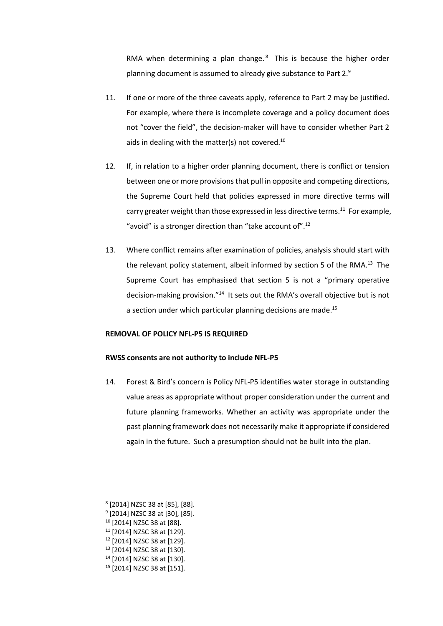RMA when determining a plan change. $8$  This is because the higher order planning document is assumed to already give substance to Part 2.9

- 11. If one or more of the three caveats apply, reference to Part 2 may be justified. For example, where there is incomplete coverage and a policy document does not "cover the field", the decision-maker will have to consider whether Part 2 aids in dealing with the matter(s) not covered. $10$
- 12. If, in relation to a higher order planning document, there is conflict or tension between one or more provisions that pull in opposite and competing directions, the Supreme Court held that policies expressed in more directive terms will carry greater weight than those expressed in less directive terms.<sup>11</sup> For example, "avoid" is a stronger direction than "take account of".<sup>12</sup>
- 13. Where conflict remains after examination of policies, analysis should start with the relevant policy statement, albeit informed by section 5 of the RMA.<sup>13</sup> The Supreme Court has emphasised that section 5 is not a "primary operative decision-making provision."<sup>14</sup> It sets out the RMA's overall objective but is not a section under which particular planning decisions are made.<sup>15</sup>

#### **REMOVAL OF POLICY NFL-P5 IS REQUIRED**

#### **RWSS consents are not authority to include NFL-P5**

14. Forest & Bird's concern is Policy NFL-P5 identifies water storage in outstanding value areas as appropriate without proper consideration under the current and future planning frameworks. Whether an activity was appropriate under the past planning framework does not necessarily make it appropriate if considered again in the future. Such a presumption should not be built into the plan.

- <sup>11</sup> [2014] NZSC 38 at [129].
- <sup>12</sup> [2014] NZSC 38 at [129].
- <sup>13</sup> [2014] NZSC 38 at [130].
- <sup>14</sup> [2014] NZSC 38 at [130].
- <sup>15</sup> [2014] NZSC 38 at [151].

<sup>8</sup> [2014] NZSC 38 at [85], [88].

<sup>9</sup> [2014] NZSC 38 at [30], [85].

<sup>10</sup> [2014] NZSC 38 at [88].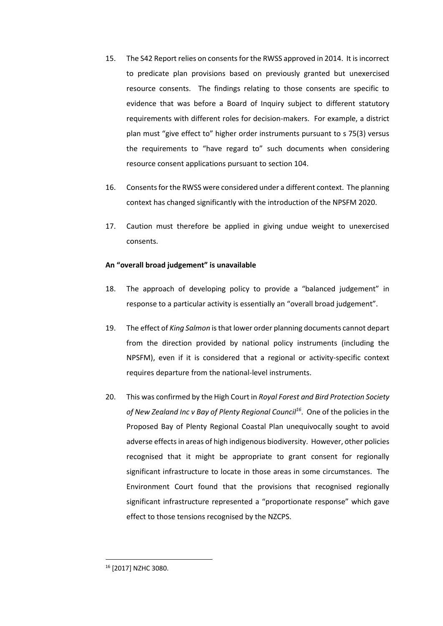- 15. The S42 Report relies on consents for the RWSS approved in 2014. It is incorrect to predicate plan provisions based on previously granted but unexercised resource consents. The findings relating to those consents are specific to evidence that was before a Board of Inquiry subject to different statutory requirements with different roles for decision-makers. For example, a district plan must "give effect to" higher order instruments pursuant to s 75(3) versus the requirements to "have regard to" such documents when considering resource consent applications pursuant to section 104.
- 16. Consents for the RWSS were considered under a different context. The planning context has changed significantly with the introduction of the NPSFM 2020.
- 17. Caution must therefore be applied in giving undue weight to unexercised consents.

# **An "overall broad judgement" is unavailable**

- 18. The approach of developing policy to provide a "balanced judgement" in response to a particular activity is essentially an "overall broad judgement".
- 19. The effect of *King Salmon* isthat lower order planning documents cannot depart from the direction provided by national policy instruments (including the NPSFM), even if it is considered that a regional or activity-specific context requires departure from the national-level instruments.
- 20. This was confirmed by the High Court in *Royal Forest and Bird Protection Society of New Zealand Inc v Bay of Plenty Regional Council<sup>16</sup>* . One of the policies in the Proposed Bay of Plenty Regional Coastal Plan unequivocally sought to avoid adverse effects in areas of high indigenous biodiversity. However, other policies recognised that it might be appropriate to grant consent for regionally significant infrastructure to locate in those areas in some circumstances. The Environment Court found that the provisions that recognised regionally significant infrastructure represented a "proportionate response" which gave effect to those tensions recognised by the NZCPS.

<sup>16</sup> [2017] NZHC 3080.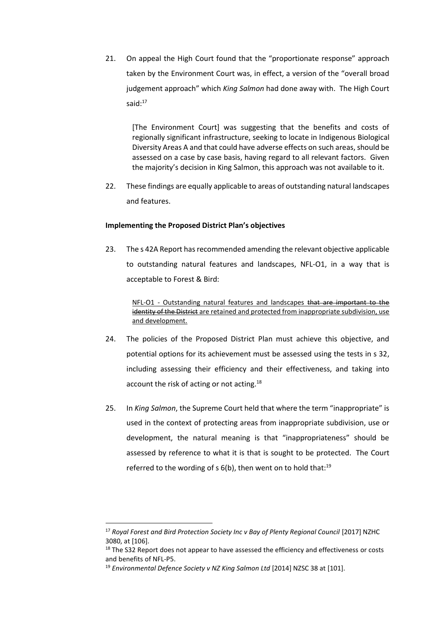21. On appeal the High Court found that the "proportionate response" approach taken by the Environment Court was, in effect, a version of the "overall broad judgement approach" which *King Salmon* had done away with. The High Court said:<sup>17</sup>

[The Environment Court] was suggesting that the benefits and costs of regionally significant infrastructure, seeking to locate in Indigenous Biological Diversity Areas A and that could have adverse effects on such areas, should be assessed on a case by case basis, having regard to all relevant factors. Given the majority's decision in King Salmon, this approach was not available to it.

22. These findings are equally applicable to areas of outstanding natural landscapes and features.

## **Implementing the Proposed District Plan's objectives**

23. The s 42A Report has recommended amending the relevant objective applicable to outstanding natural features and landscapes, NFL-O1, in a way that is acceptable to Forest & Bird:

NFL-O1 - Outstanding natural features and landscapes that are important to the identity of the District are retained and protected from inappropriate subdivision, use and development.

- 24. The policies of the Proposed District Plan must achieve this objective, and potential options for its achievement must be assessed using the tests in s 32, including assessing their efficiency and their effectiveness, and taking into account the risk of acting or not acting.<sup>18</sup>
- 25. In *King Salmon*, the Supreme Court held that where the term "inappropriate" is used in the context of protecting areas from inappropriate subdivision, use or development, the natural meaning is that "inappropriateness" should be assessed by reference to what it is that is sought to be protected. The Court referred to the wording of  $s$  6(b), then went on to hold that:<sup>19</sup>

<sup>&</sup>lt;sup>17</sup> Royal Forest and Bird Protection Society Inc v Bay of Plenty Regional Council [2017] NZHC 3080, at [106].

 $18$  The S32 Report does not appear to have assessed the efficiency and effectiveness or costs and benefits of NFL-P5.

<sup>&</sup>lt;sup>19</sup> Environmental Defence Society v NZ King Salmon Ltd [2014] NZSC 38 at [101].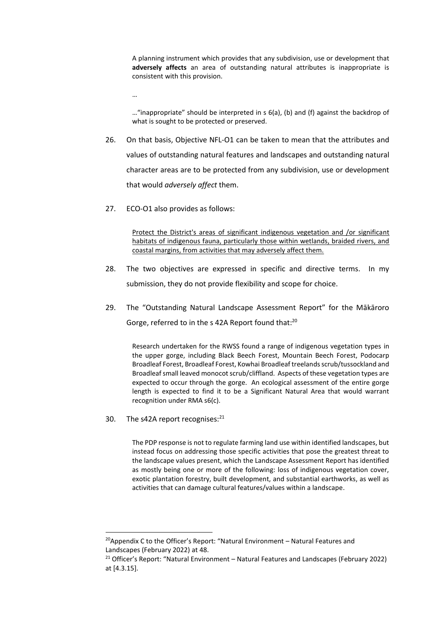A planning instrument which provides that any subdivision, use or development that **adversely affects** an area of outstanding natural attributes is inappropriate is consistent with this provision.

…

…"inappropriate" should be interpreted in s 6(a), (b) and (f) against the backdrop of what is sought to be protected or preserved.

- 26. On that basis, Objective NFL-O1 can be taken to mean that the attributes and values of outstanding natural features and landscapes and outstanding natural character areas are to be protected from any subdivision, use or development that would *adversely affect* them.
- 27. ECO-O1 also provides as follows:

Protect the District's areas of significant indigenous vegetation and /or significant habitats of indigenous fauna, particularly those within wetlands, braided rivers, and coastal margins, from activities that may adversely affect them.

- 28. The two objectives are expressed in specific and directive terms. In my submission, they do not provide flexibility and scope for choice.
- 29. The "Outstanding Natural Landscape Assessment Report" for the Mākāroro Gorge, referred to in the s 42A Report found that:<sup>20</sup>

Research undertaken for the RWSS found a range of indigenous vegetation types in the upper gorge, including Black Beech Forest, Mountain Beech Forest, Podocarp Broadleaf Forest, Broadleaf Forest, Kowhai Broadleaf treelands scrub/tussockland and Broadleaf small leaved monocot scrub/cliffland. Aspects of these vegetation types are expected to occur through the gorge. An ecological assessment of the entire gorge length is expected to find it to be a Significant Natural Area that would warrant recognition under RMA s6(c).

30. The s42A report recognises: $21$ 

The PDP response is not to regulate farming land use within identified landscapes, but instead focus on addressing those specific activities that pose the greatest threat to the landscape values present, which the Landscape Assessment Report has identified as mostly being one or more of the following: loss of indigenous vegetation cover, exotic plantation forestry, built development, and substantial earthworks, as well as activities that can damage cultural features/values within a landscape.

 $20$ Appendix C to the Officer's Report: "Natural Environment – Natural Features and Landscapes (February 2022) at 48.

<sup>&</sup>lt;sup>21</sup> Officer's Report: "Natural Environment – Natural Features and Landscapes (February 2022) at [4.3.15].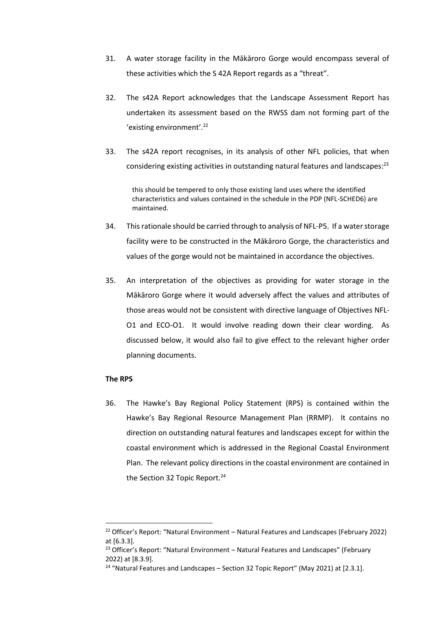- 31. A water storage facility in the Mākāroro Gorge would encompass several of these activities which the S 42A Report regards as a "threat".
- 32. The s42A Report acknowledges that the Landscape Assessment Report has undertaken its assessment based on the RWSS dam not forming part of the 'existing environment'.<sup>22</sup>
- 33. The s42A report recognises, in its analysis of other NFL policies, that when considering existing activities in outstanding natural features and landscapes:<sup>23</sup>

this should be tempered to only those existing land uses where the identified characteristics and values contained in the schedule in the PDP (NFL-SCHED6) are maintained.

- 34. This rationale should be carried through to analysis of NFL-P5. If a water storage facility were to be constructed in the Mākāroro Gorge, the characteristics and values of the gorge would not be maintained in accordance the objectives.
- 35. An interpretation of the objectives as providing for water storage in the Mākāroro Gorge where it would adversely affect the values and attributes of those areas would not be consistent with directive language of Objectives NFL-O1 and ECO-O1. It would involve reading down their clear wording. As discussed below, it would also fail to give effect to the relevant higher order planning documents.

## **The RPS**

36. The Hawke's Bay Regional Policy Statement (RPS) is contained within the Hawke's Bay Regional Resource Management Plan (RRMP). It contains no direction on outstanding natural features and landscapes except for within the coastal environment which is addressed in the Regional Coastal Environment Plan. The relevant policy directions in the coastal environment are contained in the Section 32 Topic Report.<sup>24</sup>

<sup>&</sup>lt;sup>22</sup> Officer's Report: "Natural Environment – Natural Features and Landscapes (February 2022) at [6.3.3].

<sup>&</sup>lt;sup>23</sup> Officer's Report: "Natural Environment – Natural Features and Landscapes" (February 2022) at [8.3.9].

<sup>&</sup>lt;sup>24</sup> "Natural Features and Landscapes - Section 32 Topic Report" (May 2021) at [2.3.1].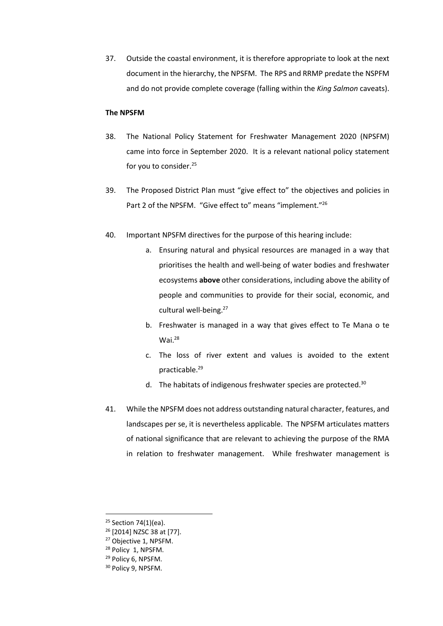37. Outside the coastal environment, it is therefore appropriate to look at the next document in the hierarchy, the NPSFM. The RPS and RRMP predate the NSPFM and do not provide complete coverage (falling within the *King Salmon* caveats).

## **The NPSFM**

- 38. The National Policy Statement for Freshwater Management 2020 (NPSFM) came into force in September 2020. It is a relevant national policy statement for you to consider. 25
- 39. The Proposed District Plan must "give effect to" the objectives and policies in Part 2 of the NPSFM. "Give effect to" means "implement."<sup>26</sup>
- 40. Important NPSFM directives for the purpose of this hearing include:
	- a. Ensuring natural and physical resources are managed in a way that prioritises the health and well-being of water bodies and freshwater ecosystems **above** other considerations, including above the ability of people and communities to provide for their social, economic, and cultural well-being.<sup>27</sup>
	- b. Freshwater is managed in a way that gives effect to Te Mana o te Wai.<sup>28</sup>
	- c. The loss of river extent and values is avoided to the extent practicable.<sup>29</sup>
	- d. The habitats of indigenous freshwater species are protected. $30$
- 41. While the NPSFM does not address outstanding natural character, features, and landscapes per se, it is nevertheless applicable. The NPSFM articulates matters of national significance that are relevant to achieving the purpose of the RMA in relation to freshwater management. While freshwater management is

- <sup>26</sup> [2014] NZSC 38 at [77].
- <sup>27</sup> Objective 1, NPSFM.
- <sup>28</sup> Policy 1, NPSFM.
- <sup>29</sup> Policy 6, NPSFM.

<sup>&</sup>lt;sup>25</sup> Section 74(1)(ea).

<sup>&</sup>lt;sup>30</sup> Policy 9, NPSFM.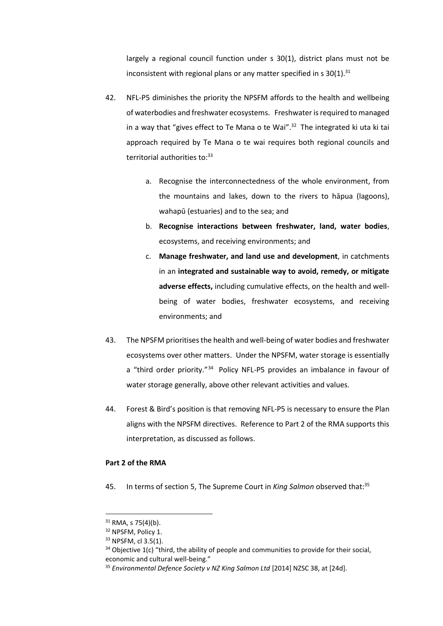largely a regional council function under s 30(1), district plans must not be inconsistent with regional plans or any matter specified in s  $30(1).^{31}$ 

- 42. NFL-P5 diminishes the priority the NPSFM affords to the health and wellbeing of waterbodies and freshwater ecosystems. Freshwater is required to managed in a way that "gives effect to Te Mana o te Wai". $32$  The integrated ki uta ki tai approach required by Te Mana o te wai requires both regional councils and territorial authorities to: 33
	- a. Recognise the interconnectedness of the whole environment, from the mountains and lakes, down to the rivers to hāpua (lagoons), wahapū (estuaries) and to the sea; and
	- b. **Recognise interactions between freshwater, land, water bodies**, ecosystems, and receiving environments; and
	- c. **Manage freshwater, and land use and development**, in catchments in an **integrated and sustainable way to avoid, remedy, or mitigate adverse effects,** including cumulative effects, on the health and wellbeing of water bodies, freshwater ecosystems, and receiving environments; and
- 43. The NPSFM prioritisesthe health and well-being of water bodies and freshwater ecosystems over other matters. Under the NPSFM, water storage is essentially a "third order priority."<sup>34</sup> Policy NFL-P5 provides an imbalance in favour of water storage generally, above other relevant activities and values.
- 44. Forest & Bird's position is that removing NFL-P5 is necessary to ensure the Plan aligns with the NPSFM directives. Reference to Part 2 of the RMA supports this interpretation, as discussed as follows.

## **Part 2 of the RMA**

45. In terms of section 5, The Supreme Court in *King Salmon* observed that:<sup>35</sup>

 $31$  RMA, s 75(4)(b).

<sup>&</sup>lt;sup>32</sup> NPSFM, Policy 1.

<sup>&</sup>lt;sup>33</sup> NPSFM, cl 3.5(1).

 $34$  Objective 1(c) "third, the ability of people and communities to provide for their social, economic and cultural well-being."

<sup>35</sup> *Environmental Defence Society v NZ King Salmon Ltd* [2014] NZSC 38, at [24d].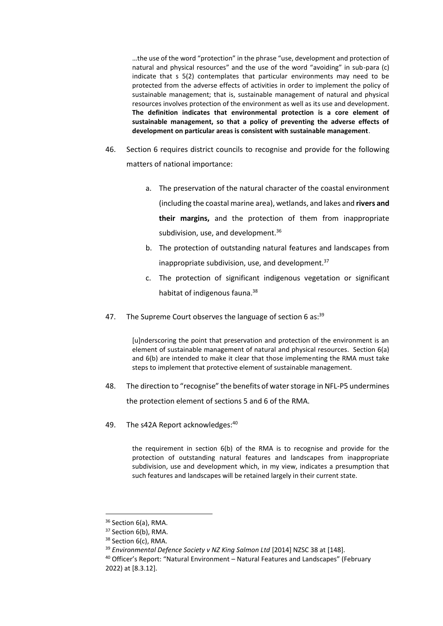…the use of the word "protection" in the phrase "use, development and protection of natural and physical resources" and the use of the word "avoiding" in sub-para (c) indicate that s 5(2) contemplates that particular environments may need to be protected from the adverse effects of activities in order to implement the policy of sustainable management; that is, sustainable management of natural and physical resources involves protection of the environment as well as its use and development. **The definition indicates that environmental protection is a core element of sustainable management, so that a policy of preventing the adverse effects of development on particular areas is consistent with sustainable management**.

- 46. Section 6 requires district councils to recognise and provide for the following matters of national importance:
	- a. The preservation of the natural character of the coastal environment (including the coastal marine area), wetlands, and lakes and **rivers and their margins,** and the protection of them from inappropriate subdivision, use, and development.<sup>36</sup>
	- b. The protection of outstanding natural features and landscapes from inappropriate subdivision, use, and development.<sup>37</sup>
	- c. The protection of significant indigenous vegetation or significant habitat of indigenous fauna.<sup>38</sup>
- 47. The Supreme Court observes the language of section 6 as:<sup>39</sup>

[u]nderscoring the point that preservation and protection of the environment is an element of sustainable management of natural and physical resources. Section 6(a) and 6(b) are intended to make it clear that those implementing the RMA must take steps to implement that protective element of sustainable management.

- 48. The direction to "recognise" the benefits of water storage in NFL-P5 undermines the protection element of sections 5 and 6 of the RMA.
- 49. The s42A Report acknowledges:<sup>40</sup>

the requirement in section 6(b) of the RMA is to recognise and provide for the protection of outstanding natural features and landscapes from inappropriate subdivision, use and development which, in my view, indicates a presumption that such features and landscapes will be retained largely in their current state.

<sup>&</sup>lt;sup>36</sup> Section 6(a), RMA.

<sup>&</sup>lt;sup>37</sup> Section 6(b), RMA.

<sup>&</sup>lt;sup>38</sup> Section 6(c), RMA.

<sup>&</sup>lt;sup>39</sup> Environmental Defence Society v NZ King Salmon Ltd [2014] NZSC 38 at [148].

<sup>&</sup>lt;sup>40</sup> Officer's Report: "Natural Environment - Natural Features and Landscapes" (February 2022) at [8.3.12].